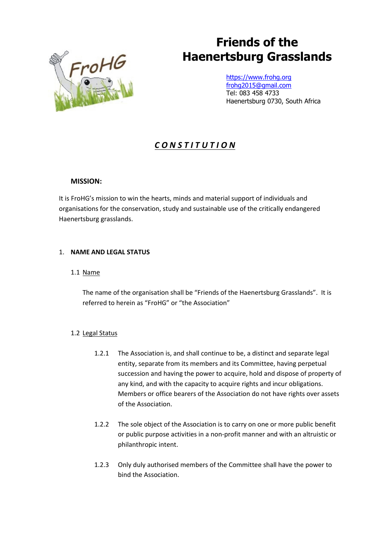# **Friends of the Haenertsburg Grasslands**



[https://www.frohg.org](https://www.frohg.org/) [frohg2015@gmail.com](mailto:frohg2015@gmail.com) Tel: 083 458 4733 Haenertsburg 0730, South Africa

# *C O N S T I T U T I O N*

# **MISSION:**

It is FroHG's mission to win the hearts, minds and material support of individuals and organisations for the conservation, study and sustainable use of the critically endangered Haenertsburg grasslands.

# 1. **NAME AND LEGAL STATUS**

# 1.1 Name

The name of the organisation shall be "Friends of the Haenertsburg Grasslands". It is referred to herein as "FroHG" or "the Association"

# 1.2 Legal Status

- 1.2.1 The Association is, and shall continue to be, a distinct and separate legal entity, separate from its members and its Committee, having perpetual succession and having the power to acquire, hold and dispose of property of any kind, and with the capacity to acquire rights and incur obligations. Members or office bearers of the Association do not have rights over assets of the Association.
- 1.2.2 The sole object of the Association is to carry on one or more public benefit or public purpose activities in a non-profit manner and with an altruistic or philanthropic intent.
- 1.2.3 Only duly authorised members of the Committee shall have the power to bind the Association.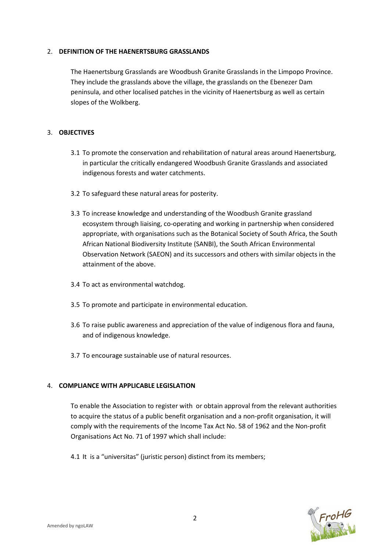#### 2. **DEFINITION OF THE HAENERTSBURG GRASSLANDS**

The Haenertsburg Grasslands are Woodbush Granite Grasslands in the Limpopo Province. They include the grasslands above the village, the grasslands on the Ebenezer Dam peninsula, and other localised patches in the vicinity of Haenertsburg as well as certain slopes of the Wolkberg.

# 3. **OBJECTIVES**

- 3.1 To promote the conservation and rehabilitation of natural areas around Haenertsburg, in particular the critically endangered Woodbush Granite Grasslands and associated indigenous forests and water catchments.
- 3.2 To safeguard these natural areas for posterity.
- 3.3 To increase knowledge and understanding of the Woodbush Granite grassland ecosystem through liaising, co-operating and working in partnership when considered appropriate, with organisations such as the Botanical Society of South Africa, the South African National Biodiversity Institute (SANBI), the South African Environmental Observation Network (SAEON) and its successors and others with similar objects in the attainment of the above.
- 3.4 To act as environmental watchdog.
- 3.5 To promote and participate in environmental education.
- 3.6 To raise public awareness and appreciation of the value of indigenous flora and fauna, and of indigenous knowledge.
- 3.7 To encourage sustainable use of natural resources.

# 4. **COMPLIANCE WITH APPLICABLE LEGISLATION**

To enable the Association to register with or obtain approval from the relevant authorities to acquire the status of a public benefit organisation and a non-profit organisation, it will comply with the requirements of the Income Tax Act No. 58 of 1962 and the Non-profit Organisations Act No. 71 of 1997 which shall include:

4.1 It is a "universitas" (juristic person) distinct from its members;

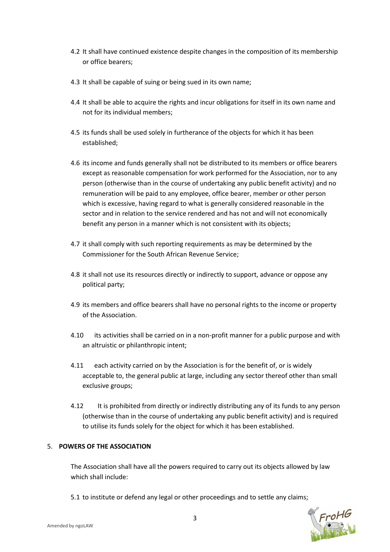- 4.2 It shall have continued existence despite changes in the composition of its membership or office bearers;
- 4.3 It shall be capable of suing or being sued in its own name;
- 4.4 It shall be able to acquire the rights and incur obligations for itself in its own name and not for its individual members;
- 4.5 its funds shall be used solely in furtherance of the objects for which it has been established;
- 4.6 its income and funds generally shall not be distributed to its members or office bearers except as reasonable compensation for work performed for the Association, nor to any person (otherwise than in the course of undertaking any public benefit activity) and no remuneration will be paid to any employee, office bearer, member or other person which is excessive, having regard to what is generally considered reasonable in the sector and in relation to the service rendered and has not and will not economically benefit any person in a manner which is not consistent with its objects;
- 4.7 it shall comply with such reporting requirements as may be determined by the Commissioner for the South African Revenue Service;
- 4.8 it shall not use its resources directly or indirectly to support, advance or oppose any political party;
- 4.9 its members and office bearers shall have no personal rights to the income or property of the Association.
- 4.10 its activities shall be carried on in a non-profit manner for a public purpose and with an altruistic or philanthropic intent;
- 4.11 each activity carried on by the Association is for the benefit of, or is widely acceptable to, the general public at large, including any sector thereof other than small exclusive groups;
- 4.12 It is prohibited from directly or indirectly distributing any of its funds to any person (otherwise than in the course of undertaking any public benefit activity) and is required to utilise its funds solely for the object for which it has been established.

# 5. **POWERS OF THE ASSOCIATION**

The Association shall have all the powers required to carry out its objects allowed by law which shall include:

5.1 to institute or defend any legal or other proceedings and to settle any claims;

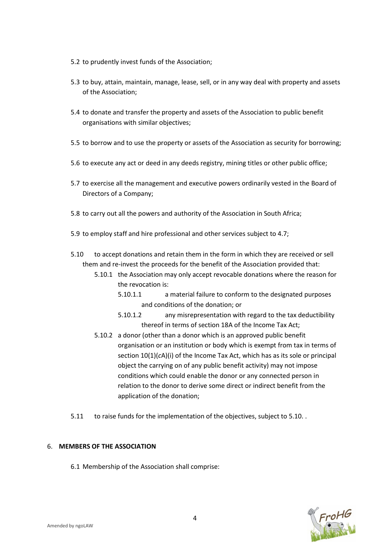- 5.2 to prudently invest funds of the Association;
- 5.3 to buy, attain, maintain, manage, lease, sell, or in any way deal with property and assets of the Association;
- 5.4 to donate and transfer the property and assets of the Association to public benefit organisations with similar objectives;
- 5.5 to borrow and to use the property or assets of the Association as security for borrowing;
- 5.6 to execute any act or deed in any deeds registry, mining titles or other public office;
- 5.7 to exercise all the management and executive powers ordinarily vested in the Board of Directors of a Company;
- 5.8 to carry out all the powers and authority of the Association in South Africa;
- 5.9 to employ staff and hire professional and other services subject to 4.7;
- 5.10 to accept donations and retain them in the form in which they are received or sell them and re-invest the proceeds for the benefit of the Association provided that:
	- 5.10.1 the Association may only accept revocable donations where the reason for the revocation is:
		- 5.10.1.1 a material failure to conform to the designated purposes and conditions of the donation; or
		- 5.10.1.2 any misrepresentation with regard to the tax deductibility thereof in terms of section 18A of the Income Tax Act;
	- 5.10.2 a donor (other than a donor which is an approved public benefit organisation or an institution or body which is exempt from tax in terms of section 10(1)(*c*A)(i) of the Income Tax Act, which has as its sole or principal object the carrying on of any public benefit activity) may not impose conditions which could enable the donor or any connected person in relation to the donor to derive some direct or indirect benefit from the application of the donation;
- 5.11 to raise funds for the implementation of the objectives, subject to 5.10. .

# 6. **MEMBERS OF THE ASSOCIATION**

6.1 Membership of the Association shall comprise:

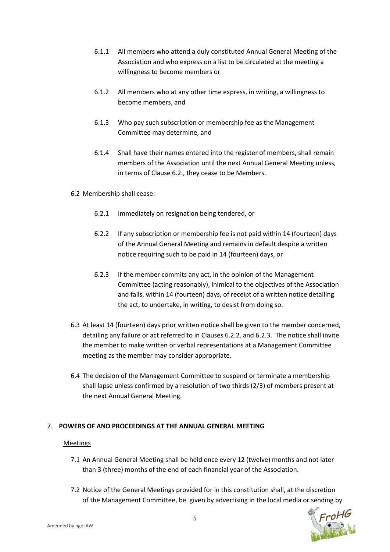- 6.1.1 All members who attend a duly constituted Annual General Meeting of the Association and who express on a list to be circulated at the meeting a willingness to become members or
- 6.1.2 All members who at any other time express, in writing, a willingness to become members, and
- 6.1.3 Who pay such subscription or membership fee as the Management Committee may determine, and
- 6.1.4 Shall have their names entered into the register of members, shall remain members of the Association until the next Annual General Meeting unless, in terms of Clause 6.2., they cease to be Members.

#### 6.2 Membership shall cease:

- 6.2.1 Immediately on resignation being tendered, or
- 6.2.2 If any subscription or membership fee is not paid within 14 (fourteen) days of the Annual General Meeting and remains in default despite a written notice requiring such to be paid in 14 (fourteen) days, or
- 6.2.3 If the member commits any act, in the opinion of the Management Committee (acting reasonably), inimical to the objectives of the Association and fails, within 14 (fourteen) days, of receipt of a written notice detailing the act, to undertake, in writing, to desist from doing so.
- 6.3 At least 14 (fourteen) days prior written notice shall be given to the member concerned, detailing any failure or act referred to in Clauses 6.2.2. and 6.2.3. The notice shall invite the member to make written or verbal representations at a Management Committee meeting as the member may consider appropriate.
- 6.4 The decision of the Management Committee to suspend or terminate a membership shall lapse unless confirmed by a resolution of two thirds (2/3) of members present at the next Annual General Meeting.

# 7. **POWERS OF AND PROCEEDINGS AT THE ANNUAL GENERAL MEETING**

#### Meetings

- 7.1 An Annual General Meeting shall be held once every 12 (twelve) months and not later than 3 (three) months of the end of each financial year of the Association.
- 7.2 Notice of the General Meetings provided for in this constitution shall, at the discretion of the Management Committee, be given by advertising in the local media or sending by<br>5<br>DLAW

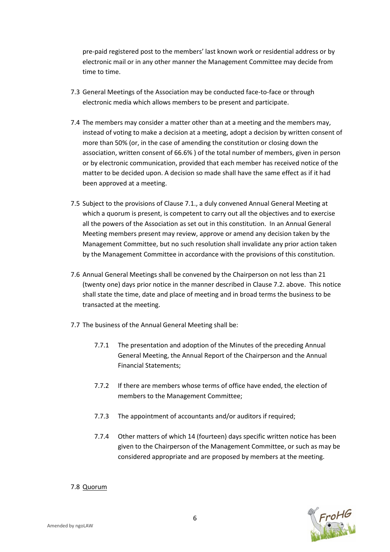pre-paid registered post to the members' last known work or residential address or by electronic mail or in any other manner the Management Committee may decide from time to time.

- 7.3 General Meetings of the Association may be conducted face-to-face or through electronic media which allows members to be present and participate.
- 7.4 The members may consider a matter other than at a meeting and the members may, instead of voting to make a decision at a meeting, adopt a decision by written consent of more than 50% (or, in the case of amending the constitution or closing down the association, written consent of 66.6% ) of the total number of members, given in person or by electronic communication, provided that each member has received notice of the matter to be decided upon. A decision so made shall have the same effect as if it had been approved at a meeting.
- 7.5 Subject to the provisions of Clause 7.1., a duly convened Annual General Meeting at which a quorum is present, is competent to carry out all the objectives and to exercise all the powers of the Association as set out in this constitution. In an Annual General Meeting members present may review, approve or amend any decision taken by the Management Committee, but no such resolution shall invalidate any prior action taken by the Management Committee in accordance with the provisions of this constitution.
- 7.6 Annual General Meetings shall be convened by the Chairperson on not less than 21 (twenty one) days prior notice in the manner described in Clause 7.2. above. This notice shall state the time, date and place of meeting and in broad terms the business to be transacted at the meeting.
- 7.7 The business of the Annual General Meeting shall be:
	- 7.7.1 The presentation and adoption of the Minutes of the preceding Annual General Meeting, the Annual Report of the Chairperson and the Annual Financial Statements;
	- 7.7.2 If there are members whose terms of office have ended, the election of members to the Management Committee;
	- 7.7.3 The appointment of accountants and/or auditors if required;
	- 7.7.4 Other matters of which 14 (fourteen) days specific written notice has been given to the Chairperson of the Management Committee, or such as may be considered appropriate and are proposed by members at the meeting.

# 7.8 Quorum

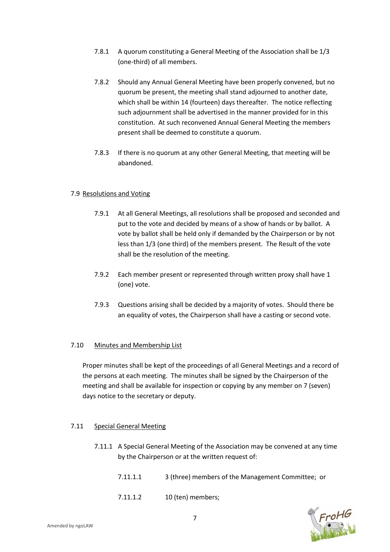- 7.8.1 A quorum constituting a General Meeting of the Association shall be 1/3 (one-third) of all members.
- 7.8.2 Should any Annual General Meeting have been properly convened, but no quorum be present, the meeting shall stand adjourned to another date, which shall be within 14 (fourteen) days thereafter. The notice reflecting such adjournment shall be advertised in the manner provided for in this constitution. At such reconvened Annual General Meeting the members present shall be deemed to constitute a quorum.
- 7.8.3 If there is no quorum at any other General Meeting, that meeting will be abandoned.

#### 7.9 Resolutions and Voting

- 7.9.1 At all General Meetings, all resolutions shall be proposed and seconded and put to the vote and decided by means of a show of hands or by ballot. A vote by ballot shall be held only if demanded by the Chairperson or by not less than 1/3 (one third) of the members present. The Result of the vote shall be the resolution of the meeting.
- 7.9.2 Each member present or represented through written proxy shall have 1 (one) vote.
- 7.9.3 Questions arising shall be decided by a majority of votes. Should there be an equality of votes, the Chairperson shall have a casting or second vote.

#### 7.10 Minutes and Membership List

Proper minutes shall be kept of the proceedings of all General Meetings and a record of the persons at each meeting. The minutes shall be signed by the Chairperson of the meeting and shall be available for inspection or copying by any member on 7 (seven) days notice to the secretary or deputy.

#### 7.11 Special General Meeting

- 7.11.1 A Special General Meeting of the Association may be convened at any time by the Chairperson or at the written request of:
	- 7.11.1.1 3 (three) members of the Management Committee; or
	- 7.11.1.2 10 (ten) members;

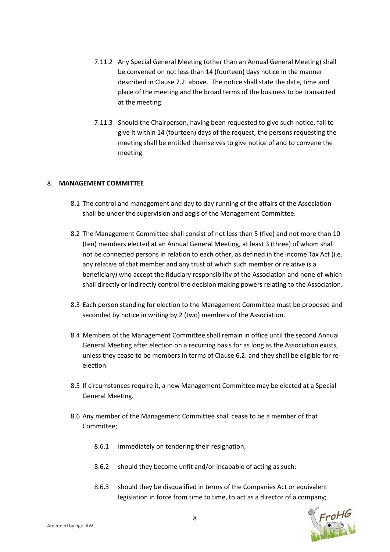- 7.11.2 Any Special General Meeting (other than an Annual General Meeting) shall be convened on not less than 14 (fourteen) days notice in the manner described in Clause 7.2. above. The notice shall state the date, time and place of the meeting and the broad terms of the business to be transacted at the meeting.
- 7.11.3 Should the Chairperson, having been requested to give such notice, fail to give it within 14 (fourteen) days of the request, the persons requesting the meeting shall be entitled themselves to give notice of and to convene the meeting.

# 8. **MANAGEMENT COMMITTEE**

- 8.1 The control and management and day to day running of the affairs of the Association shall be under the supervision and aegis of the Management Committee.
- 8.2 The Management Committee shall consist of not less than 5 (five) and not more than 10 (ten) members elected at an Annual General Meeting, at least 3 (three) of whom shall not be connected persons in relation to each other, as defined in the Income Tax Act (i.e. any relative of that member and any trust of which such member or relative is a beneficiary) who accept the fiduciary responsibility of the Association and none of which shall directly or indirectly control the decision making powers relating to the Association.
- 8.3 Each person standing for election to the Management Committee must be proposed and seconded by notice in writing by 2 (two) members of the Association.
- 8.4 Members of the Management Committee shall remain in office until the second Annual General Meeting after election on a recurring basis for as long as the Association exists, unless they cease to be members in terms of Clause 6.2. and they shall be eligible for reelection.
- 8.5 If circumstances require it, a new Management Committee may be elected at a Special General Meeting.
- 8.6 Any member of the Management Committee shall cease to be a member of that Committee;
	- 8.6.1 Immediately on tendering their resignation;
	- 8.6.2 should they become unfit and/or incapable of acting as such;
	- 8.6.3 should they be disqualified in terms of the Companies Act or equivalent legislation in force from time to time, to act as a director of a company;

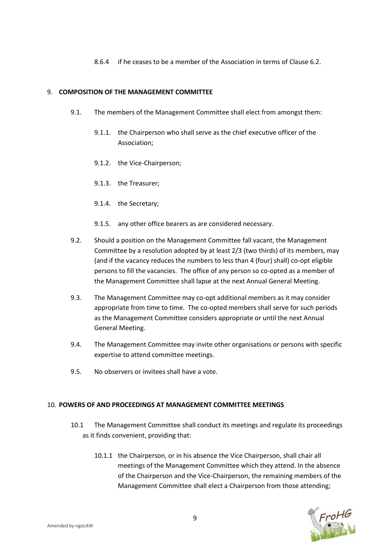8.6.4 if he ceases to be a member of the Association in terms of Clause 6.2.

#### 9. **COMPOSITION OF THE MANAGEMENT COMMITTEE**

- 9.1. The members of the Management Committee shall elect from amongst them:
	- 9.1.1. the Chairperson who shall serve as the chief executive officer of the Association;
	- 9.1.2. the Vice-Chairperson;
	- 9.1.3. the Treasurer;
	- 9.1.4. the Secretary;
	- 9.1.5. any other office bearers as are considered necessary.
- 9.2. Should a position on the Management Committee fall vacant, the Management Committee by a resolution adopted by at least 2/3 (two thirds) of its members, may (and if the vacancy reduces the numbers to less than 4 (four) shall) co-opt eligible persons to fill the vacancies. The office of any person so co-opted as a member of the Management Committee shall lapse at the next Annual General Meeting.
- 9.3. The Management Committee may co-opt additional members as it may consider appropriate from time to time. The co-opted members shall serve for such periods as the Management Committee considers appropriate or until the next Annual General Meeting.
- 9.4. The Management Committee may invite other organisations or persons with specific expertise to attend committee meetings.
- 9.5. No observers or invitees shall have a vote.

#### 10. **POWERS OF AND PROCEEDINGS AT MANAGEMENT COMMITTEE MEETINGS**

- 10.1 The Management Committee shall conduct its meetings and regulate its proceedings as it finds convenient, providing that:
	- 10.1.1 the Chairperson, or in his absence the Vice Chairperson, shall chair all meetings of the Management Committee which they attend. In the absence of the Chairperson and the Vice-Chairperson, the remaining members of the Management Committee shall elect a Chairperson from those attending;

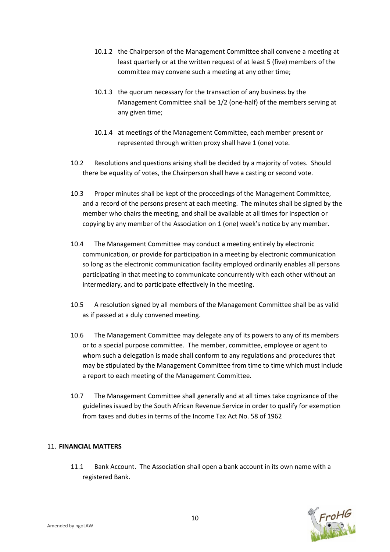- 10.1.2 the Chairperson of the Management Committee shall convene a meeting at least quarterly or at the written request of at least 5 (five) members of the committee may convene such a meeting at any other time;
- 10.1.3 the quorum necessary for the transaction of any business by the Management Committee shall be 1/2 (one-half) of the members serving at any given time;
- 10.1.4 at meetings of the Management Committee, each member present or represented through written proxy shall have 1 (one) vote.
- 10.2 Resolutions and questions arising shall be decided by a majority of votes. Should there be equality of votes, the Chairperson shall have a casting or second vote.
- 10.3 Proper minutes shall be kept of the proceedings of the Management Committee, and a record of the persons present at each meeting. The minutes shall be signed by the member who chairs the meeting, and shall be available at all times for inspection or copying by any member of the Association on 1 (one) week's notice by any member.
- 10.4 The Management Committee may conduct a meeting entirely by electronic communication, or provide for participation in a meeting by electronic communication so long as the electronic communication facility employed ordinarily enables all persons participating in that meeting to communicate concurrently with each other without an intermediary, and to participate effectively in the meeting.
- 10.5 A resolution signed by all members of the Management Committee shall be as valid as if passed at a duly convened meeting.
- 10.6 The Management Committee may delegate any of its powers to any of its members or to a special purpose committee. The member, committee, employee or agent to whom such a delegation is made shall conform to any regulations and procedures that may be stipulated by the Management Committee from time to time which must include a report to each meeting of the Management Committee.
- 10.7 The Management Committee shall generally and at all times take cognizance of the guidelines issued by the South African Revenue Service in order to qualify for exemption from taxes and duties in terms of the Income Tax Act No. 58 of 1962

# 11. **FINANCIAL MATTERS**

11.1 Bank Account. The Association shall open a bank account in its own name with a registered Bank.

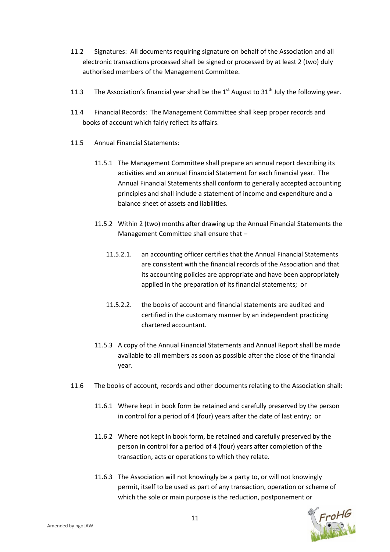- 11.2 Signatures: All documents requiring signature on behalf of the Association and all electronic transactions processed shall be signed or processed by at least 2 (two) duly authorised members of the Management Committee.
- 11.3 The Association's financial year shall be the  $1<sup>st</sup>$  August to  $31<sup>th</sup>$  July the following year.
- 11.4 Financial Records: The Management Committee shall keep proper records and books of account which fairly reflect its affairs.
- 11.5 Annual Financial Statements:
	- 11.5.1 The Management Committee shall prepare an annual report describing its activities and an annual Financial Statement for each financial year. The Annual Financial Statements shall conform to generally accepted accounting principles and shall include a statement of income and expenditure and a balance sheet of assets and liabilities.
	- 11.5.2 Within 2 (two) months after drawing up the Annual Financial Statements the Management Committee shall ensure that –
		- 11.5.2.1. an accounting officer certifies that the Annual Financial Statements are consistent with the financial records of the Association and that its accounting policies are appropriate and have been appropriately applied in the preparation of its financial statements; or
		- 11.5.2.2. the books of account and financial statements are audited and certified in the customary manner by an independent practicing chartered accountant.
	- 11.5.3 A copy of the Annual Financial Statements and Annual Report shall be made available to all members as soon as possible after the close of the financial year.
- 11.6 The books of account, records and other documents relating to the Association shall:
	- 11.6.1 Where kept in book form be retained and carefully preserved by the person in control for a period of 4 (four) years after the date of last entry; or
	- 11.6.2 Where not kept in book form, be retained and carefully preserved by the person in control for a period of 4 (four) years after completion of the transaction, acts or operations to which they relate.
	- 11.6.3 The Association will not knowingly be a party to, or will not knowingly permit, itself to be used as part of any transaction, operation or scheme of which the sole or main purpose is the reduction, postponement or

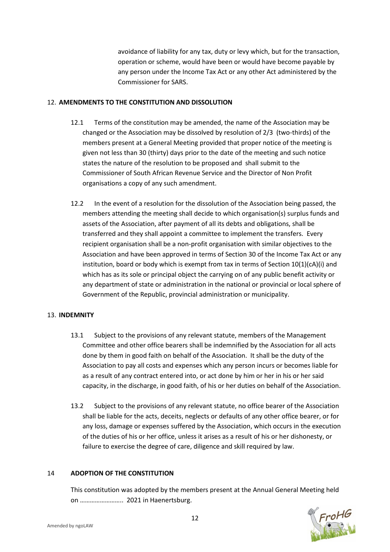avoidance of liability for any tax, duty or levy which, but for the transaction, operation or scheme, would have been or would have become payable by any person under the Income Tax Act or any other Act administered by the Commissioner for SARS.

# 12. **AMENDMENTS TO THE CONSTITUTION AND DISSOLUTION**

- 12.1 Terms of the constitution may be amended, the name of the Association may be changed or the Association may be dissolved by resolution of 2/3 (two-thirds) of the members present at a General Meeting provided that proper notice of the meeting is given not less than 30 (thirty) days prior to the date of the meeting and such notice states the nature of the resolution to be proposed and shall submit to the Commissioner of South African Revenue Service and the Director of Non Profit organisations a copy of any such amendment.
- 12.2 In the event of a resolution for the dissolution of the Association being passed, the members attending the meeting shall decide to which organisation(s) surplus funds and assets of the Association, after payment of all its debts and obligations, shall be transferred and they shall appoint a committee to implement the transfers. Every recipient organisation shall be a non-profit organisation with similar objectives to the Association and have been approved in terms of Section 30 of the Income Tax Act or any institution, board or body which is exempt from tax in terms of Section  $10(1)(cA)(i)$  and which has as its sole or principal object the carrying on of any public benefit activity or any department of state or administration in the national or provincial or local sphere of Government of the Republic, provincial administration or municipality.

# 13. **INDEMNITY**

- 13.1 Subject to the provisions of any relevant statute, members of the Management Committee and other office bearers shall be indemnified by the Association for all acts done by them in good faith on behalf of the Association. It shall be the duty of the Association to pay all costs and expenses which any person incurs or becomes liable for as a result of any contract entered into, or act done by him or her in his or her said capacity, in the discharge, in good faith, of his or her duties on behalf of the Association.
- 13.2 Subject to the provisions of any relevant statute, no office bearer of the Association shall be liable for the acts, deceits, neglects or defaults of any other office bearer, or for any loss, damage or expenses suffered by the Association, which occurs in the execution of the duties of his or her office, unless it arises as a result of his or her dishonesty, or failure to exercise the degree of care, diligence and skill required by law.

# 14 **ADOPTION OF THE CONSTITUTION**

This constitution was adopted by the members present at the Annual General Meeting held on …………………….. 2021 in Haenertsburg.